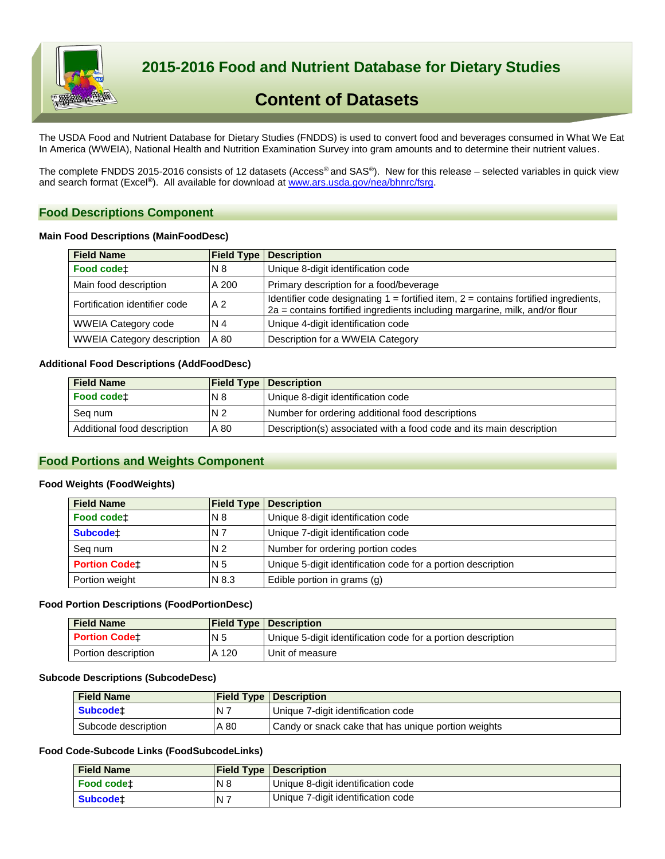

 **2015-2016 Food and Nutrient Database for Dietary Studies**

# **Content of Datasets**

The USDA Food and Nutrient Database for Dietary Studies (FNDDS) is used to convert food and beverages consumed in What We Eat In America (WWEIA), National Health and Nutrition Examination Survey into gram amounts and to determine their nutrient values.

The complete FNDDS 2015-2016 consists of 12 datasets (Access® and SAS®). New for this release – selected variables in quick view and search format (Excel**®**). All available for download a[t www.ars.usda.gov/nea/bhnrc/fsrg.](http://www.ars.usda.gov/nea/bhnrc/fsrg)

## **Food Descriptions Component**

## **Main Food Descriptions (MainFoodDesc)**

| <b>Field Name</b>                 | <b>Field Type</b> | <b>Description</b>                                                                                                                                                     |
|-----------------------------------|-------------------|------------------------------------------------------------------------------------------------------------------------------------------------------------------------|
| Food codet                        | N8                | Unique 8-digit identification code                                                                                                                                     |
| Main food description             | A 200             | Primary description for a food/beverage                                                                                                                                |
| Fortification identifier code     | A <sub>2</sub>    | Identifier code designating $1 =$ fortified item, $2 =$ contains fortified ingredients,<br>2a = contains fortified ingredients including margarine, milk, and/or flour |
| <b>WWEIA Category code</b>        | N 4               | Unique 4-digit identification code                                                                                                                                     |
| <b>WWEIA Category description</b> | A 80              | Description for a WWEIA Category                                                                                                                                       |

## **Additional Food Descriptions (AddFoodDesc)**

| <b>Field Name</b>           |                | <b>Field Type   Description</b>                                     |
|-----------------------------|----------------|---------------------------------------------------------------------|
| Food codet                  | <b>N8</b>      | Unique 8-digit identification code                                  |
| Seg num                     | N <sub>2</sub> | Number for ordering additional food descriptions                    |
| Additional food description | A 80           | Description(s) associated with a food code and its main description |

## **Food Portions and Weights Component**

#### **Food Weights (FoodWeights)**

| <b>Field Name</b>    | <b>Field Type</b> | <b>Description</b>                                           |
|----------------------|-------------------|--------------------------------------------------------------|
| Food codet           | N 8               | Unique 8-digit identification code                           |
| <b>Subcodet</b>      | N 7               | Unique 7-digit identification code                           |
| Seg num              | N <sub>2</sub>    | Number for ordering portion codes                            |
| <b>Portion Codet</b> | N 5               | Unique 5-digit identification code for a portion description |
| Portion weight       | N 8.3             | Edible portion in grams (g)                                  |

#### **Food Portion Descriptions (FoodPortionDesc)**

| <b>Field Name</b>    |                | <b>Field Type   Description</b>                              |
|----------------------|----------------|--------------------------------------------------------------|
| <b>Portion Codet</b> | N <sub>5</sub> | Unique 5-digit identification code for a portion description |
| Portion description  | A 120          | Unit of measure                                              |

#### **Subcode Descriptions (SubcodeDesc)**

| <b>Field Name</b>   |           | <b>Field Type   Description</b>                     |
|---------------------|-----------|-----------------------------------------------------|
| <b>Subcodet</b>     | <b>N7</b> | Unique 7-digit identification code                  |
| Subcode description | A 80      | Candy or snack cake that has unique portion weights |

## **Food Code-Subcode Links (FoodSubcodeLinks)**

| <b>Field Name</b> |       | <b>Field Type   Description</b>    |
|-------------------|-------|------------------------------------|
| <b>Food codet</b> | N8    | Unique 8-digit identification code |
| <b>Subcodet</b>   | $N$ 7 | Unique 7-digit identification code |